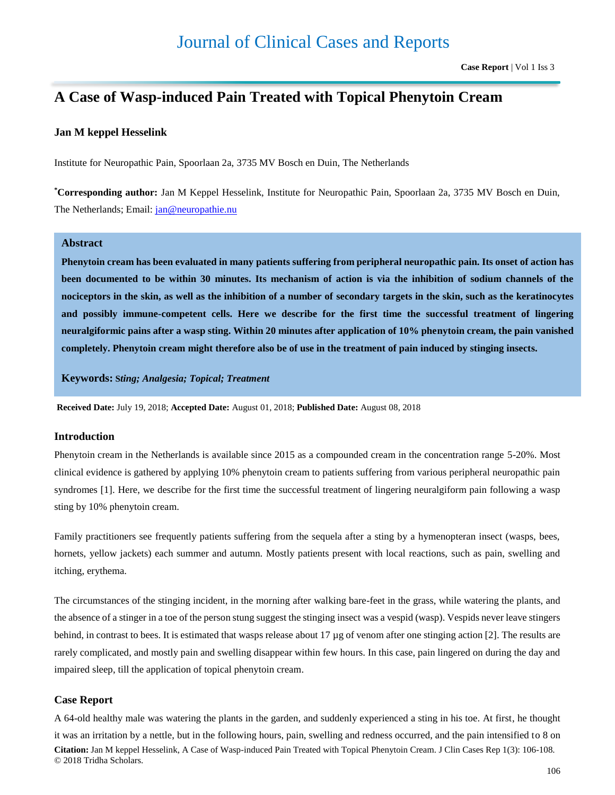# **A Case of Wasp-induced Pain Treated with Topical Phenytoin Cream**

### **Jan M keppel Hesselink**

Institute for Neuropathic Pain, Spoorlaan 2a, 3735 MV Bosch en Duin, The Netherlands

**\*Corresponding author:** Jan M Keppel Hesselink, Institute for Neuropathic Pain, Spoorlaan 2a, 3735 MV Bosch en Duin, The Netherlands; Email: [jan@neuropathie.nu](mailto:jan@neuropathie.nu)

## **Abstract**

**Phenytoin cream has been evaluated in many patients suffering from peripheral neuropathic pain. Its onset of action has been documented to be within 30 minutes. Its mechanism of action is via the inhibition of sodium channels of the nociceptors in the skin, as well as the inhibition of a number of secondary targets in the skin, such as the keratinocytes and possibly immune-competent cells. Here we describe for the first time the successful treatment of lingering neuralgiformic pains after a wasp sting. Within 20 minutes after application of 10% phenytoin cream, the pain vanished completely. Phenytoin cream might therefore also be of use in the treatment of pain induced by stinging insects.** 

**Keywords: S***ting; Analgesia; Topical; Treatment*

**Received Date:** July 19, 2018; **Accepted Date:** August 01, 2018; **Published Date:** August 08, 2018

#### **Introduction**

Phenytoin cream in the Netherlands is available since 2015 as a compounded cream in the concentration range 5-20%. Most clinical evidence is gathered by applying 10% phenytoin cream to patients suffering from various peripheral neuropathic pain syndromes [1]. Here, we describe for the first time the successful treatment of lingering neuralgiform pain following a wasp sting by 10% phenytoin cream.

Family practitioners see frequently patients suffering from the sequela after a sting by a hymenopteran insect (wasps, bees, hornets, yellow jackets) each summer and autumn. Mostly patients present with local reactions, such as pain, swelling and itching, erythema.

The circumstances of the stinging incident, in the morning after walking bare-feet in the grass, while watering the plants, and the absence of a stinger in a toe of the person stung suggest the stinging insect was a vespid (wasp). Vespids never leave stingers behind, in contrast to bees. It is estimated that wasps release about 17 µg of venom after one stinging action [2]. The results are rarely complicated, and mostly pain and swelling disappear within few hours. In this case, pain lingered on during the day and impaired sleep, till the application of topical phenytoin cream.

#### **Case Report**

**Citation:** Jan M keppel Hesselink, A Case of Wasp-induced Pain Treated with Topical Phenytoin Cream. J Clin Cases Rep 1(3): 106-108. © 2018 Tridha Scholars. A 64-old healthy male was watering the plants in the garden, and suddenly experienced a sting in his toe. At first, he thought it was an irritation by a nettle, but in the following hours, pain, swelling and redness occurred, and the pain intensified to 8 on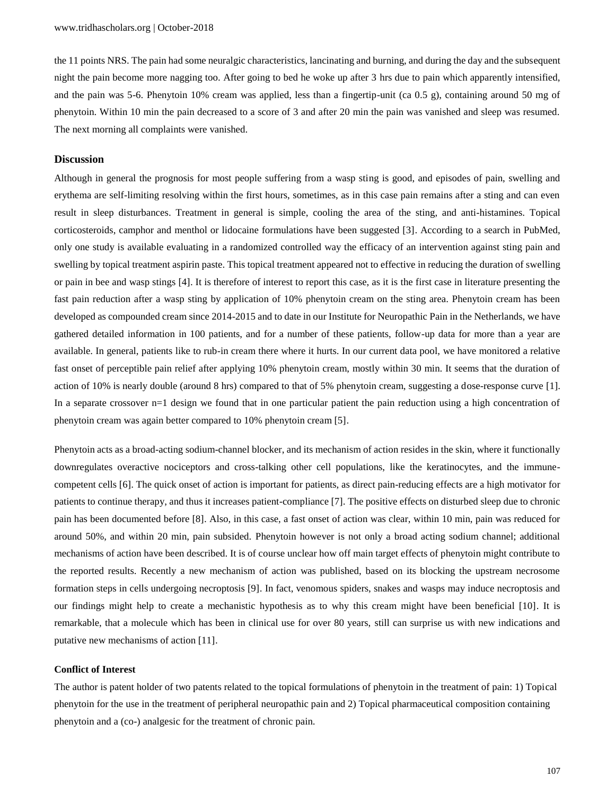the 11 points NRS. The pain had some neuralgic characteristics, lancinating and burning, and during the day and the subsequent night the pain become more nagging too. After going to bed he woke up after 3 hrs due to pain which apparently intensified, and the pain was 5-6. Phenytoin 10% cream was applied, less than a fingertip-unit (ca 0.5 g), containing around 50 mg of phenytoin. Within 10 min the pain decreased to a score of 3 and after 20 min the pain was vanished and sleep was resumed. The next morning all complaints were vanished.

#### **Discussion**

Although in general the prognosis for most people suffering from a wasp sting is good, and episodes of pain, swelling and erythema are self-limiting resolving within the first hours, sometimes, as in this case pain remains after a sting and can even result in sleep disturbances. Treatment in general is simple, cooling the area of the sting, and anti-histamines. Topical corticosteroids, camphor and menthol or lidocaine formulations have been suggested [3]. According to a search in PubMed, only one study is available evaluating in a randomized controlled way the efficacy of an intervention against sting pain and swelling by topical treatment aspirin paste. This topical treatment appeared not to effective in reducing the duration of swelling or pain in bee and wasp stings [4]. It is therefore of interest to report this case, as it is the first case in literature presenting the fast pain reduction after a wasp sting by application of 10% phenytoin cream on the sting area. Phenytoin cream has been developed as compounded cream since 2014-2015 and to date in our Institute for Neuropathic Pain in the Netherlands, we have gathered detailed information in 100 patients, and for a number of these patients, follow-up data for more than a year are available. In general, patients like to rub-in cream there where it hurts. In our current data pool, we have monitored a relative fast onset of perceptible pain relief after applying 10% phenytoin cream, mostly within 30 min. It seems that the duration of action of 10% is nearly double (around 8 hrs) compared to that of 5% phenytoin cream, suggesting a dose-response curve [1]. In a separate crossover n=1 design we found that in one particular patient the pain reduction using a high concentration of phenytoin cream was again better compared to 10% phenytoin cream [5].

Phenytoin acts as a broad-acting sodium-channel blocker, and its mechanism of action resides in the skin, where it functionally downregulates overactive nociceptors and cross-talking other cell populations, like the keratinocytes, and the immunecompetent cells [6]. The quick onset of action is important for patients, as direct pain-reducing effects are a high motivator for patients to continue therapy, and thus it increases patient-compliance [7]. The positive effects on disturbed sleep due to chronic pain has been documented before [8]. Also, in this case, a fast onset of action was clear, within 10 min, pain was reduced for around 50%, and within 20 min, pain subsided. Phenytoin however is not only a broad acting sodium channel; additional mechanisms of action have been described. It is of course unclear how off main target effects of phenytoin might contribute to the reported results. Recently a new mechanism of action was published, based on its blocking the upstream necrosome formation steps in cells undergoing necroptosis [9]. In fact, venomous spiders, snakes and wasps may induce necroptosis and our findings might help to create a mechanistic hypothesis as to why this cream might have been beneficial [10]. It is remarkable, that a molecule which has been in clinical use for over 80 years, still can surprise us with new indications and putative new mechanisms of action [11].

#### **Conflict of Interest**

The author is patent holder of two patents related to the topical formulations of phenytoin in the treatment of pain: 1) Topical phenytoin for the use in the treatment of peripheral neuropathic pain and 2) Topical pharmaceutical composition containing phenytoin and a (co-) analgesic for the treatment of chronic pain.